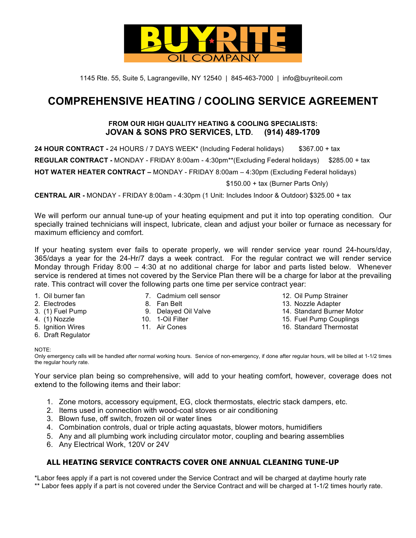

1145 Rte. 55, Suite 5, Lagrangeville, NY 12540 | 845-463-7000 | info@buyriteoil.com

# **COMPREHENSIVE HEATING / COOLING SERVICE AGREEMENT**

#### **FROM OUR HIGH QUALITY HEATING & COOLING SPECIALISTS: JOVAN & SONS PRO SERVICES, LTD. (914) 489-1709**

**24 HOUR CONTRACT -** 24 HOURS / 7 DAYS WEEK\* (Including Federal holidays) \$367.00 + tax

REGULAR CONTRACT - MONDAY - FRIDAY 8:00am - 4:30pm<sup>\*\*</sup>(Excluding Federal holidays) \$285.00 + tax

**HOT WATER HEATER CONTRACT –** MONDAY - FRIDAY 8:00am – 4:30pm (Excluding Federal holidays)

\$150.00 + tax (Burner Parts Only)

**CENTRAL AIR -** MONDAY - FRIDAY 8:00am - 4:30pm (1 Unit: Includes Indoor & Outdoor) \$325.00 + tax

We will perform our annual tune-up of your heating equipment and put it into top operating condition. Our specially trained technicians will inspect, lubricate, clean and adjust your boiler or furnace as necessary for maximum efficiency and comfort.

If your heating system ever fails to operate properly, we will render service year round 24-hours/day, 365/days a year for the 24-Hr/7 days a week contract. For the regular contract we will render service Monday through Friday 8:00 – 4:30 at no additional charge for labor and parts listed below. Whenever service is rendered at times not covered by the Service Plan there will be a charge for labor at the prevailing rate. This contract will cover the following parts one time per service contract year:

- 
- 
- 
- 
- 
- 6. Draft Regulator
- 
- 1. Oil burner fan 7. Cadmium cell sensor 12. Oil Pump Strainer
	-
	-
	-
	-
- 
- 2. Electrodes 8. Fan Belt 13. Nozzle Adapter
- 3. (1) Fuel Pump 9. Delayed Oil Valve 14. Standard Burner Motor
- 4. (1) Nozzle 10. 1-Oil Filter 15. Fuel Pump Couplings
- 5. Ignition Wires **11. Air Cones** 11. Air Cones 16. Standard Thermostat

NOTE:

Only emergency calls will be handled after normal working hours. Service of non-emergency, if done after regular hours, will be billed at 1-1/2 times the regular hourly rate.

Your service plan being so comprehensive, will add to your heating comfort, however, coverage does not extend to the following items and their labor:

- 1. Zone motors, accessory equipment, EG, clock thermostats, electric stack dampers, etc.
- 2. Items used in connection with wood-coal stoves or air conditioning
- 3. Blown fuse, off switch, frozen oil or water lines
- 4. Combination controls, dual or triple acting aquastats, blower motors, humidifiers
- 5. Any and all plumbing work including circulator motor, coupling and bearing assemblies
- 6. Any Electrical Work, 120V or 24V

#### **ALL HEATING SERVICE CONTRACTS COVER ONE ANNUAL CLEANING TUNE-UP**

\*Labor fees apply if a part is not covered under the Service Contract and will be charged at daytime hourly rate \*\* Labor fees apply if a part is not covered under the Service Contract and will be charged at 1-1/2 times hourly rate.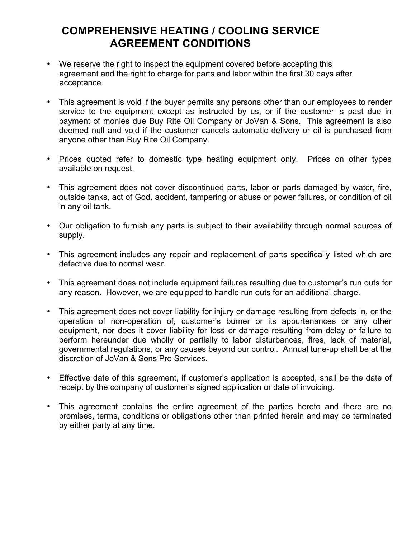# **COMPREHENSIVE HEATING / COOLING SERVICE AGREEMENT CONDITIONS**

- We reserve the right to inspect the equipment covered before accepting this agreement and the right to charge for parts and labor within the first 30 days after acceptance.
- This agreement is void if the buyer permits any persons other than our employees to render service to the equipment except as instructed by us, or if the customer is past due in payment of monies due Buy Rite Oil Company or JoVan & Sons. This agreement is also deemed null and void if the customer cancels automatic delivery or oil is purchased from anyone other than Buy Rite Oil Company.
- Prices quoted refer to domestic type heating equipment only. Prices on other types available on request.
- This agreement does not cover discontinued parts, labor or parts damaged by water, fire, outside tanks, act of God, accident, tampering or abuse or power failures, or condition of oil in any oil tank.
- Our obligation to furnish any parts is subject to their availability through normal sources of supply.
- This agreement includes any repair and replacement of parts specifically listed which are defective due to normal wear.
- This agreement does not include equipment failures resulting due to customer's run outs for any reason. However, we are equipped to handle run outs for an additional charge.
- This agreement does not cover liability for injury or damage resulting from defects in, or the operation of non-operation of, customer's burner or its appurtenances or any other equipment, nor does it cover liability for loss or damage resulting from delay or failure to perform hereunder due wholly or partially to labor disturbances, fires, lack of material, governmental regulations, or any causes beyond our control. Annual tune-up shall be at the discretion of JoVan & Sons Pro Services.
- Effective date of this agreement, if customer's application is accepted, shall be the date of receipt by the company of customer's signed application or date of invoicing.
- This agreement contains the entire agreement of the parties hereto and there are no promises, terms, conditions or obligations other than printed herein and may be terminated by either party at any time.